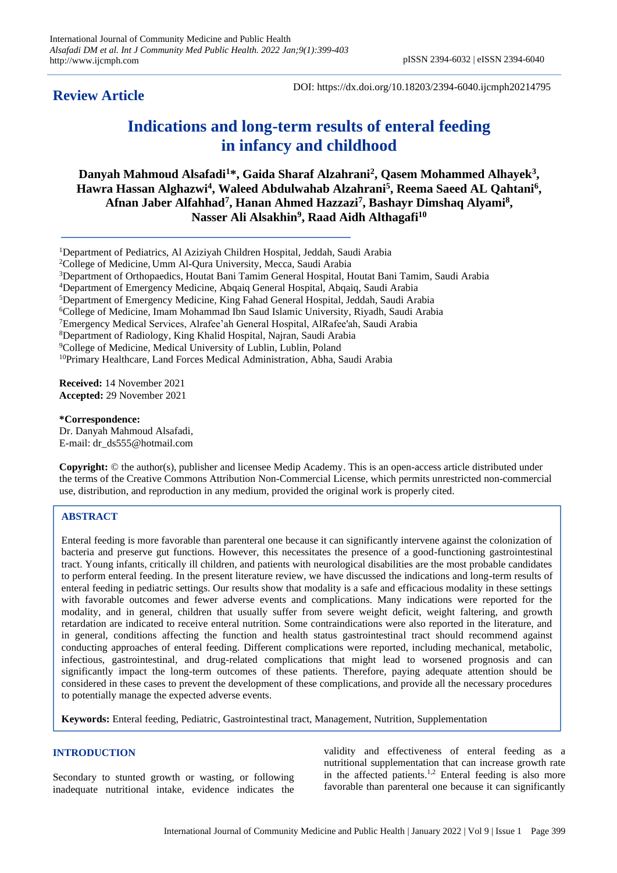**Review Article**

DOI: https://dx.doi.org/10.18203/2394-6040.ijcmph20214795

# **Indications and long-term results of enteral feeding in infancy and childhood**

**Danyah Mahmoud Alsafadi<sup>1</sup>\*, Gaida Sharaf Alzahrani<sup>2</sup> , Qasem Mohammed Alhayek<sup>3</sup> , Hawra Hassan Alghazwi<sup>4</sup> , Waleed Abdulwahab Alzahrani<sup>5</sup> , Reema Saeed AL Qahtani<sup>6</sup> , Afnan Jaber Alfahhad<sup>7</sup> , Hanan Ahmed Hazzazi<sup>7</sup> , Bashayr Dimshaq Alyami<sup>8</sup> , Nasser Ali Alsakhin<sup>9</sup> , Raad Aidh Althagafi<sup>10</sup>**

<sup>1</sup>Department of Pediatrics, Al Aziziyah Children Hospital, Jeddah, Saudi Arabia

<sup>2</sup>College of Medicine, Umm Al-Qura University, Mecca, Saudi Arabia

<sup>3</sup>Department of Orthopaedics, Houtat Bani Tamim General Hospital, Houtat Bani Tamim, Saudi Arabia

<sup>4</sup>Department of Emergency Medicine, Abqaiq General Hospital, Abqaiq, Saudi Arabia

<sup>5</sup>Department of Emergency Medicine, King Fahad General Hospital, Jeddah, Saudi Arabia

<sup>6</sup>College of Medicine, Imam Mohammad Ibn Saud Islamic University, Riyadh, Saudi Arabia

<sup>7</sup>Emergency Medical Services, Alrafee'ah General Hospital, AlRafee'ah, Saudi Arabia

<sup>8</sup>Department of Radiology, King Khalid Hospital, Najran, Saudi Arabia

<sup>9</sup>College of Medicine, Medical University of Lublin, Lublin, Poland

<sup>10</sup>Primary Healthcare, Land Forces Medical Administration, Abha, Saudi Arabia

**Received:** 14 November 2021 **Accepted:** 29 November 2021

**\*Correspondence:**

Dr. Danyah Mahmoud Alsafadi, E-mail: dr\_ds555@hotmail.com

**Copyright:** © the author(s), publisher and licensee Medip Academy. This is an open-access article distributed under the terms of the Creative Commons Attribution Non-Commercial License, which permits unrestricted non-commercial use, distribution, and reproduction in any medium, provided the original work is properly cited.

## **ABSTRACT**

Enteral feeding is more favorable than parenteral one because it can significantly intervene against the colonization of bacteria and preserve gut functions. However, this necessitates the presence of a good-functioning gastrointestinal tract. Young infants, critically ill children, and patients with neurological disabilities are the most probable candidates to perform enteral feeding. In the present literature review, we have discussed the indications and long-term results of enteral feeding in pediatric settings. Our results show that modality is a safe and efficacious modality in these settings with favorable outcomes and fewer adverse events and complications. Many indications were reported for the modality, and in general, children that usually suffer from severe weight deficit, weight faltering, and growth retardation are indicated to receive enteral nutrition. Some contraindications were also reported in the literature, and in general, conditions affecting the function and health status gastrointestinal tract should recommend against conducting approaches of enteral feeding. Different complications were reported, including mechanical, metabolic, infectious, gastrointestinal, and drug-related complications that might lead to worsened prognosis and can significantly impact the long-term outcomes of these patients. Therefore, paying adequate attention should be considered in these cases to prevent the development of these complications, and provide all the necessary procedures to potentially manage the expected adverse events.

**Keywords:** Enteral feeding, Pediatric, Gastrointestinal tract, Management, Nutrition, Supplementation

## **INTRODUCTION**

Secondary to stunted growth or wasting, or following inadequate nutritional intake, evidence indicates the

validity and effectiveness of enteral feeding as a nutritional supplementation that can increase growth rate in the affected patients.<sup>1,2</sup> Enteral feeding is also more favorable than parenteral one because it can significantly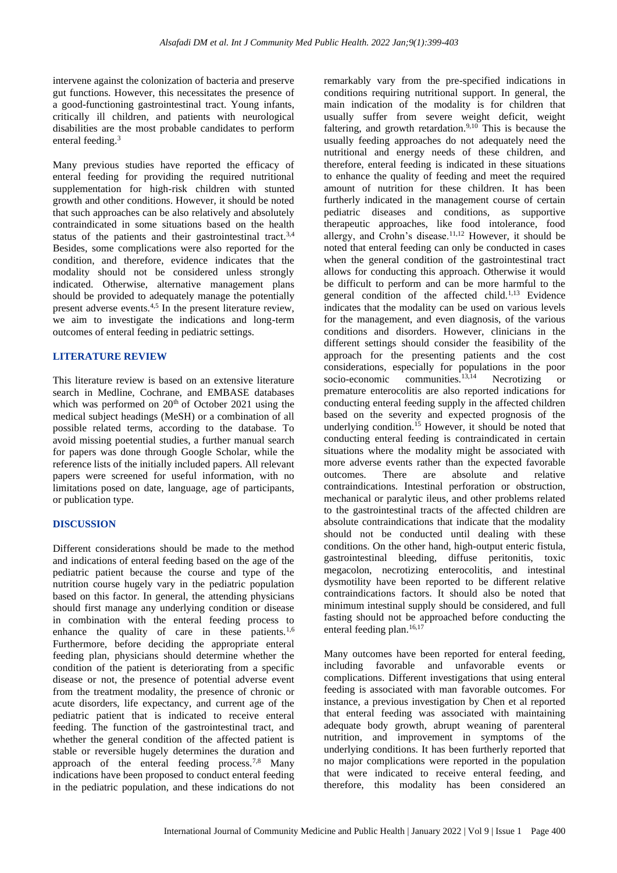intervene against the colonization of bacteria and preserve gut functions. However, this necessitates the presence of a good-functioning gastrointestinal tract. Young infants, critically ill children, and patients with neurological disabilities are the most probable candidates to perform enteral feeding.<sup>3</sup>

Many previous studies have reported the efficacy of enteral feeding for providing the required nutritional supplementation for high-risk children with stunted growth and other conditions. However, it should be noted that such approaches can be also relatively and absolutely contraindicated in some situations based on the health status of the patients and their gastrointestinal tract.<sup>3,4</sup> Besides, some complications were also reported for the condition, and therefore, evidence indicates that the modality should not be considered unless strongly indicated. Otherwise, alternative management plans should be provided to adequately manage the potentially present adverse events.<sup>4,5</sup> In the present literature review, we aim to investigate the indications and long-term outcomes of enteral feeding in pediatric settings.

#### **LITERATURE REVIEW**

This literature review is based on an extensive literature search in Medline, Cochrane, and EMBASE databases which was performed on  $20<sup>th</sup>$  of October 2021 using the medical subject headings (MeSH) or a combination of all possible related terms, according to the database. To avoid missing poetential studies, a further manual search for papers was done through Google Scholar, while the reference lists of the initially included papers. All relevant papers were screened for useful information, with no limitations posed on date, language, age of participants, or publication type.

#### **DISCUSSION**

Different considerations should be made to the method and indications of enteral feeding based on the age of the pediatric patient because the course and type of the nutrition course hugely vary in the pediatric population based on this factor. In general, the attending physicians should first manage any underlying condition or disease in combination with the enteral feeding process to enhance the quality of care in these patients.<sup>1,6</sup> Furthermore, before deciding the appropriate enteral feeding plan, physicians should determine whether the condition of the patient is deteriorating from a specific disease or not, the presence of potential adverse event from the treatment modality, the presence of chronic or acute disorders, life expectancy, and current age of the pediatric patient that is indicated to receive enteral feeding. The function of the gastrointestinal tract, and whether the general condition of the affected patient is stable or reversible hugely determines the duration and approach of the enteral feeding process.<sup>7,8</sup> Many indications have been proposed to conduct enteral feeding in the pediatric population, and these indications do not

remarkably vary from the pre-specified indications in conditions requiring nutritional support. In general, the main indication of the modality is for children that usually suffer from severe weight deficit, weight faltering, and growth retardation. $9,10$  This is because the usually feeding approaches do not adequately need the nutritional and energy needs of these children, and therefore, enteral feeding is indicated in these situations to enhance the quality of feeding and meet the required amount of nutrition for these children. It has been furtherly indicated in the management course of certain pediatric diseases and conditions, as supportive therapeutic approaches, like food intolerance, food allergy, and Crohn's disease.<sup>11,12</sup> However, it should be noted that enteral feeding can only be conducted in cases when the general condition of the gastrointestinal tract allows for conducting this approach. Otherwise it would be difficult to perform and can be more harmful to the general condition of the affected child.<sup>1,13</sup> Evidence indicates that the modality can be used on various levels for the management, and even diagnosis, of the various conditions and disorders. However, clinicians in the different settings should consider the feasibility of the approach for the presenting patients and the cost considerations, especially for populations in the poor socio-economic communities.<sup>13,14</sup> Necrotizing or premature enterocolitis are also reported indications for conducting enteral feeding supply in the affected children based on the severity and expected prognosis of the underlying condition.<sup>15</sup> However, it should be noted that conducting enteral feeding is contraindicated in certain situations where the modality might be associated with more adverse events rather than the expected favorable outcomes. There are absolute and relative contraindications. Intestinal perforation or obstruction, mechanical or paralytic ileus, and other problems related to the gastrointestinal tracts of the affected children are absolute contraindications that indicate that the modality should not be conducted until dealing with these conditions. On the other hand, high-output enteric fistula, gastrointestinal bleeding, diffuse peritonitis, toxic megacolon, necrotizing enterocolitis, and intestinal dysmotility have been reported to be different relative contraindications factors. It should also be noted that minimum intestinal supply should be considered, and full fasting should not be approached before conducting the enteral feeding plan.<sup>16,17</sup>

Many outcomes have been reported for enteral feeding, including favorable and unfavorable events or complications. Different investigations that using enteral feeding is associated with man favorable outcomes. For instance, a previous investigation by Chen et al reported that enteral feeding was associated with maintaining adequate body growth, abrupt weaning of parenteral nutrition, and improvement in symptoms of the underlying conditions. It has been furtherly reported that no major complications were reported in the population that were indicated to receive enteral feeding, and therefore, this modality has been considered an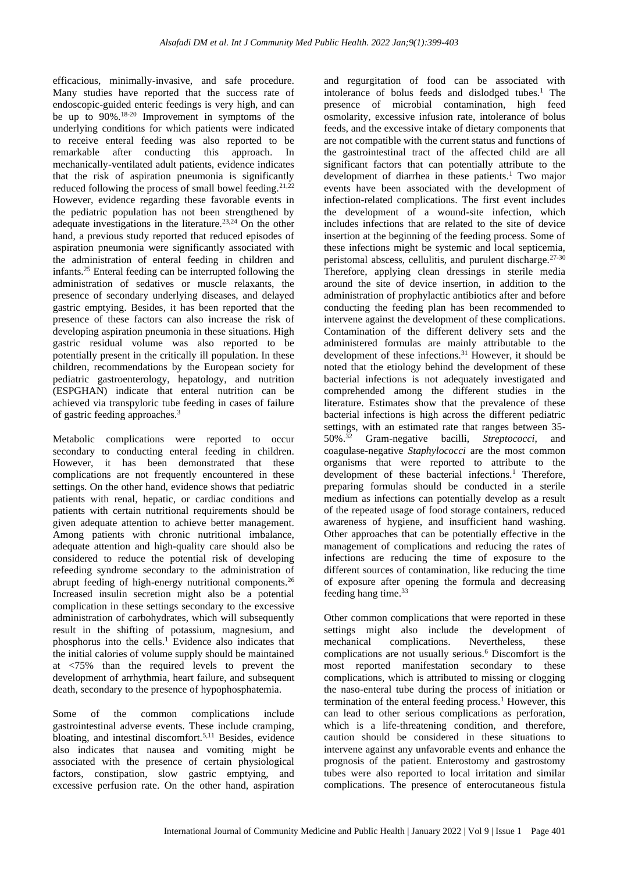efficacious, minimally-invasive, and safe procedure. Many studies have reported that the success rate of endoscopic-guided enteric feedings is very high, and can be up to 90%.18-20 Improvement in symptoms of the underlying conditions for which patients were indicated to receive enteral feeding was also reported to be remarkable after conducting this approach. In mechanically-ventilated adult patients, evidence indicates that the risk of aspiration pneumonia is significantly reduced following the process of small bowel feeding.<sup>21,22</sup> However, evidence regarding these favorable events in the pediatric population has not been strengthened by adequate investigations in the literature.<sup>23,24</sup> On the other hand, a previous study reported that reduced episodes of aspiration pneumonia were significantly associated with the administration of enteral feeding in children and infants.<sup>25</sup> Enteral feeding can be interrupted following the administration of sedatives or muscle relaxants, the presence of secondary underlying diseases, and delayed gastric emptying. Besides, it has been reported that the presence of these factors can also increase the risk of developing aspiration pneumonia in these situations. High gastric residual volume was also reported to be potentially present in the critically ill population. In these children, recommendations by the European society for pediatric gastroenterology, hepatology, and nutrition (ESPGHAN) indicate that enteral nutrition can be achieved via transpyloric tube feeding in cases of failure of gastric feeding approaches.<sup>3</sup>

Metabolic complications were reported to occur secondary to conducting enteral feeding in children. However, it has been demonstrated that these complications are not frequently encountered in these settings. On the other hand, evidence shows that pediatric patients with renal, hepatic, or cardiac conditions and patients with certain nutritional requirements should be given adequate attention to achieve better management. Among patients with chronic nutritional imbalance, adequate attention and high-quality care should also be considered to reduce the potential risk of developing refeeding syndrome secondary to the administration of abrupt feeding of high-energy nutritional components.<sup>26</sup> Increased insulin secretion might also be a potential complication in these settings secondary to the excessive administration of carbohydrates, which will subsequently result in the shifting of potassium, magnesium, and phosphorus into the cells.<sup>1</sup> Evidence also indicates that the initial calories of volume supply should be maintained at <75% than the required levels to prevent the development of arrhythmia, heart failure, and subsequent death, secondary to the presence of hypophosphatemia.

Some of the common complications include gastrointestinal adverse events. These include cramping, bloating, and intestinal discomfort.<sup>5,11</sup> Besides, evidence also indicates that nausea and vomiting might be associated with the presence of certain physiological factors, constipation, slow gastric emptying, and excessive perfusion rate. On the other hand, aspiration

and regurgitation of food can be associated with intolerance of bolus feeds and dislodged tubes.<sup>1</sup> The presence of microbial contamination, high feed osmolarity, excessive infusion rate, intolerance of bolus feeds, and the excessive intake of dietary components that are not compatible with the current status and functions of the gastrointestinal tract of the affected child are all significant factors that can potentially attribute to the development of diarrhea in these patients.<sup>1</sup> Two major events have been associated with the development of infection-related complications. The first event includes the development of a wound-site infection, which includes infections that are related to the site of device insertion at the beginning of the feeding process. Some of these infections might be systemic and local septicemia, peristomal abscess, cellulitis, and purulent discharge.<sup>27-30</sup> Therefore, applying clean dressings in sterile media around the site of device insertion, in addition to the administration of prophylactic antibiotics after and before conducting the feeding plan has been recommended to intervene against the development of these complications. Contamination of the different delivery sets and the administered formulas are mainly attributable to the development of these infections.<sup>31</sup> However, it should be noted that the etiology behind the development of these bacterial infections is not adequately investigated and comprehended among the different studies in the literature. Estimates show that the prevalence of these bacterial infections is high across the different pediatric settings, with an estimated rate that ranges between 35-<br>50%<sup>32</sup> Gram-negative bacilli *Strentococci* and Gram-negative bacilli, *Streptococci*, and coagulase-negative *Staphylococci* are the most common organisms that were reported to attribute to the development of these bacterial infections.<sup>1</sup> Therefore, preparing formulas should be conducted in a sterile medium as infections can potentially develop as a result of the repeated usage of food storage containers, reduced awareness of hygiene, and insufficient hand washing. Other approaches that can be potentially effective in the management of complications and reducing the rates of infections are reducing the time of exposure to the different sources of contamination, like reducing the time of exposure after opening the formula and decreasing feeding hang time.<sup>33</sup>

Other common complications that were reported in these settings might also include the development of mechanical complications. Nevertheless, these complications are not usually serious.<sup>6</sup> Discomfort is the most reported manifestation secondary to these complications, which is attributed to missing or clogging the naso-enteral tube during the process of initiation or termination of the enteral feeding process.<sup>1</sup> However, this can lead to other serious complications as perforation, which is a life-threatening condition, and therefore, caution should be considered in these situations to intervene against any unfavorable events and enhance the prognosis of the patient. Enterostomy and gastrostomy tubes were also reported to local irritation and similar complications. The presence of enterocutaneous fistula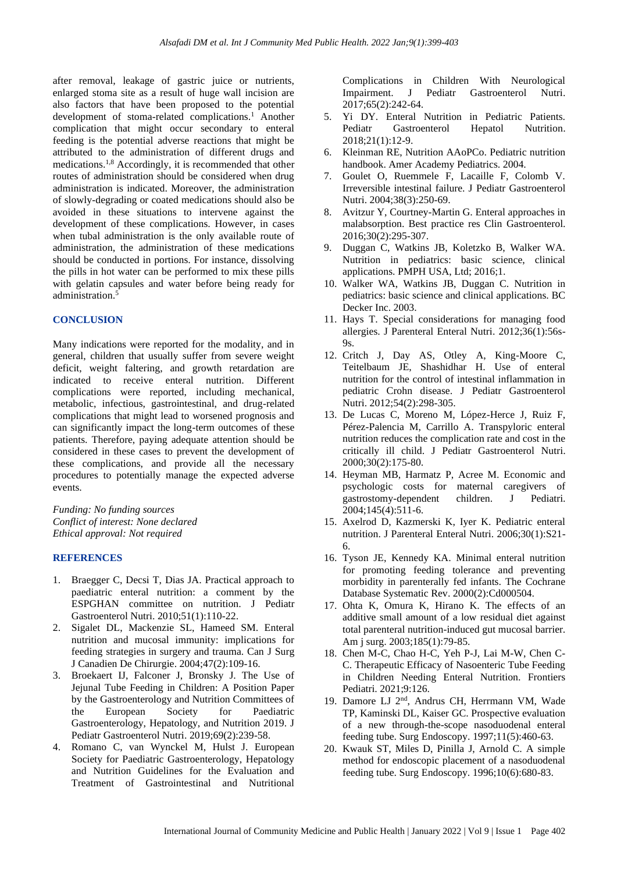after removal, leakage of gastric juice or nutrients, enlarged stoma site as a result of huge wall incision are also factors that have been proposed to the potential development of stoma-related complications.<sup>1</sup> Another complication that might occur secondary to enteral feeding is the potential adverse reactions that might be attributed to the administration of different drugs and medications. 1,8 Accordingly, it is recommended that other routes of administration should be considered when drug administration is indicated. Moreover, the administration of slowly-degrading or coated medications should also be avoided in these situations to intervene against the development of these complications. However, in cases when tubal administration is the only available route of administration, the administration of these medications should be conducted in portions. For instance, dissolving the pills in hot water can be performed to mix these pills with gelatin capsules and water before being ready for administration.<sup>5</sup>

## **CONCLUSION**

Many indications were reported for the modality, and in general, children that usually suffer from severe weight deficit, weight faltering, and growth retardation are indicated to receive enteral nutrition. Different complications were reported, including mechanical, metabolic, infectious, gastrointestinal, and drug-related complications that might lead to worsened prognosis and can significantly impact the long-term outcomes of these patients. Therefore, paying adequate attention should be considered in these cases to prevent the development of these complications, and provide all the necessary procedures to potentially manage the expected adverse events.

*Funding: No funding sources Conflict of interest: None declared Ethical approval: Not required*

## **REFERENCES**

- 1. Braegger C, Decsi T, Dias JA. Practical approach to paediatric enteral nutrition: a comment by the ESPGHAN committee on nutrition. J Pediatr Gastroenterol Nutri. 2010;51(1):110-22.
- 2. Sigalet DL, Mackenzie SL, Hameed SM. Enteral nutrition and mucosal immunity: implications for feeding strategies in surgery and trauma. Can J Surg J Canadien De Chirurgie. 2004;47(2):109-16.
- 3. Broekaert IJ, Falconer J, Bronsky J. The Use of Jejunal Tube Feeding in Children: A Position Paper by the Gastroenterology and Nutrition Committees of the European Society for Paediatric Gastroenterology, Hepatology, and Nutrition 2019. J Pediatr Gastroenterol Nutri. 2019;69(2):239-58.
- 4. Romano C, van Wynckel M, Hulst J. European Society for Paediatric Gastroenterology, Hepatology and Nutrition Guidelines for the Evaluation and Treatment of Gastrointestinal and Nutritional

Complications in Children With Neurological Impairment. J Pediatr Gastroenterol Nutri. 2017;65(2):242-64.

- 5. Yi DY. Enteral Nutrition in Pediatric Patients. Pediatr Gastroenterol Hepatol Nutrition. 2018;21(1):12-9.
- 6. Kleinman RE, Nutrition AAoPCo. Pediatric nutrition handbook. Amer Academy Pediatrics. 2004.
- 7. Goulet O, Ruemmele F, Lacaille F, Colomb V. Irreversible intestinal failure. J Pediatr Gastroenterol Nutri. 2004;38(3):250-69.
- 8. Avitzur Y, Courtney-Martin G. Enteral approaches in malabsorption. Best practice res Clin Gastroenterol. 2016;30(2):295-307.
- 9. Duggan C, Watkins JB, Koletzko B, Walker WA. Nutrition in pediatrics: basic science, clinical applications. PMPH USA, Ltd; 2016;1.
- 10. Walker WA, Watkins JB, Duggan C. Nutrition in pediatrics: basic science and clinical applications. BC Decker Inc. 2003.
- 11. Hays T. Special considerations for managing food allergies. J Parenteral Enteral Nutri. 2012;36(1):56s- $9s$ .
- 12. Critch J, Day AS, Otley A, King-Moore C, Teitelbaum JE, Shashidhar H. Use of enteral nutrition for the control of intestinal inflammation in pediatric Crohn disease. J Pediatr Gastroenterol Nutri. 2012;54(2):298-305.
- 13. De Lucas C, Moreno M, López-Herce J, Ruiz F, Pérez-Palencia M, Carrillo A. Transpyloric enteral nutrition reduces the complication rate and cost in the critically ill child. J Pediatr Gastroenterol Nutri. 2000;30(2):175-80.
- 14. Heyman MB, Harmatz P, Acree M. Economic and psychologic costs for maternal caregivers of gastrostomy-dependent children. J Pediatri. 2004;145(4):511-6.
- 15. Axelrod D, Kazmerski K, Iyer K. Pediatric enteral nutrition. J Parenteral Enteral Nutri. 2006;30(1):S21- 6.
- 16. Tyson JE, Kennedy KA. Minimal enteral nutrition for promoting feeding tolerance and preventing morbidity in parenterally fed infants. The Cochrane Database Systematic Rev. 2000(2):Cd000504.
- 17. Ohta K, Omura K, Hirano K. The effects of an additive small amount of a low residual diet against total parenteral nutrition-induced gut mucosal barrier. Am j surg. 2003;185(1):79-85.
- 18. Chen M-C, Chao H-C, Yeh P-J, Lai M-W, Chen C-C. Therapeutic Efficacy of Nasoenteric Tube Feeding in Children Needing Enteral Nutrition. Frontiers Pediatri. 2021;9:126.
- 19. Damore LJ 2<sup>nd</sup>, Andrus CH, Herrmann VM, Wade TP, Kaminski DL, Kaiser GC. Prospective evaluation of a new through-the-scope nasoduodenal enteral feeding tube. Surg Endoscopy. 1997;11(5):460-63.
- 20. Kwauk ST, Miles D, Pinilla J, Arnold C. A simple method for endoscopic placement of a nasoduodenal feeding tube. Surg Endoscopy. 1996;10(6):680-83.